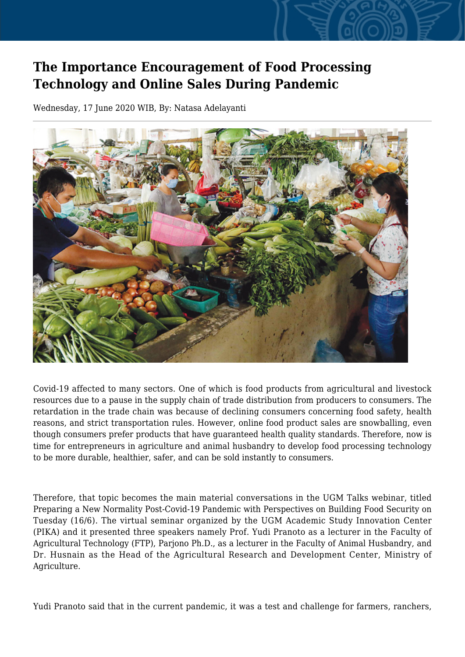## **The Importance Encouragement of Food Processing Technology and Online Sales During Pandemic**

Wednesday, 17 June 2020 WIB, By: Natasa Adelayanti



Covid-19 affected to many sectors. One of which is food products from agricultural and livestock resources due to a pause in the supply chain of trade distribution from producers to consumers. The retardation in the trade chain was because of declining consumers concerning food safety, health reasons, and strict transportation rules. However, online food product sales are snowballing, even though consumers prefer products that have guaranteed health quality standards. Therefore, now is time for entrepreneurs in agriculture and animal husbandry to develop food processing technology to be more durable, healthier, safer, and can be sold instantly to consumers.

Therefore, that topic becomes the main material conversations in the UGM Talks webinar, titled Preparing a New Normality Post-Covid-19 Pandemic with Perspectives on Building Food Security on Tuesday (16/6). The virtual seminar organized by the UGM Academic Study Innovation Center (PIKA) and it presented three speakers namely Prof. Yudi Pranoto as a lecturer in the Faculty of Agricultural Technology (FTP), Parjono Ph.D., as a lecturer in the Faculty of Animal Husbandry, and Dr. Husnain as the Head of the Agricultural Research and Development Center, Ministry of Agriculture.

Yudi Pranoto said that in the current pandemic, it was a test and challenge for farmers, ranchers,